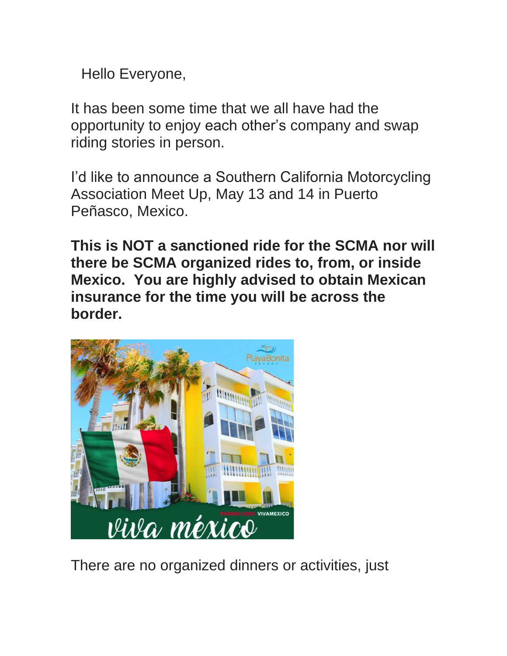Hello Everyone,

It has been some time that we all have had the opportunity to enjoy each other's company and swap riding stories in person.

I'd like to announce a Southern California Motorcycling Association Meet Up, May 13 and 14 in Puerto Peñasco, Mexico.

**This is NOT a sanctioned ride for the SCMA nor will there be SCMA organized rides to, from, or inside Mexico. You are highly advised to obtain Mexican insurance for the time you will be across the border.** 



There are no organized dinners or activities, just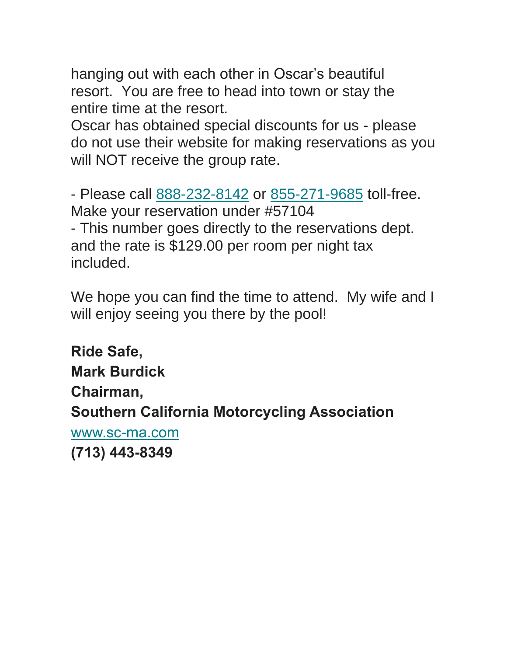hanging out with each other in Oscar's beautiful resort. You are free to head into town or stay the entire time at the resort.

Oscar has obtained special discounts for us - please do not use their website for making reservations as you will NOT receive the group rate.

- Please call [888-232-8142](tel:8882328142) or [855-271-9685](tel:8552719685) toll-free. Make your reservation under #57104 - This number goes directly to the reservations dept. and the rate is \$129.00 per room per night tax included.

We hope you can find the time to attend. My wife and I will enjoy seeing you there by the pool!

**Ride Safe, Mark Burdick Chairman, Southern California Motorcycling Association** [www.sc-ma.com](http://www.sc-ma.com/) **(713) 443-8349**